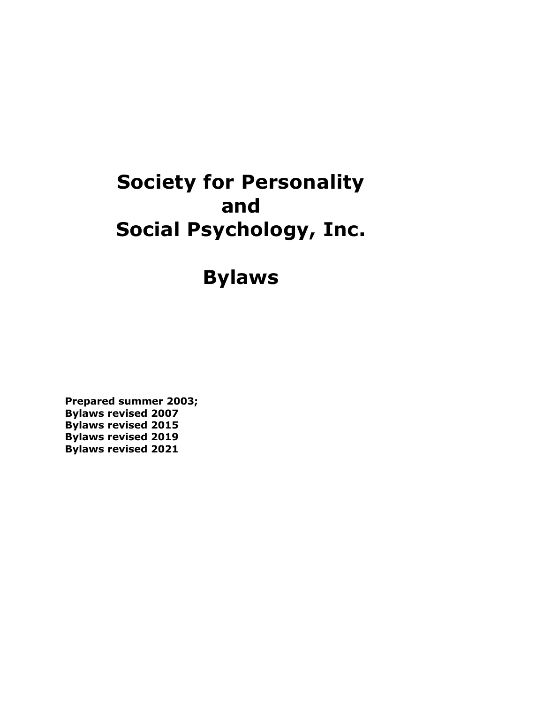# **Society for Personality and Social Psychology, Inc.**

**Bylaws**

**Prepared summer 2003; Bylaws revised 2007 Bylaws revised 2015 Bylaws revised 2019 Bylaws revised 2021**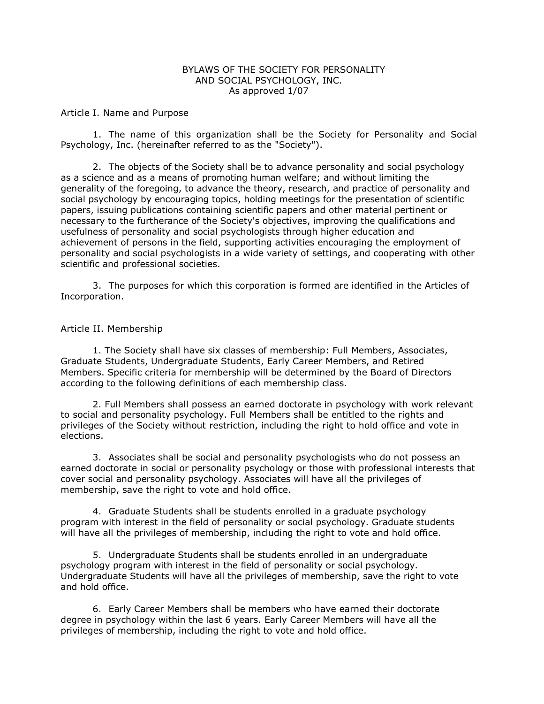#### BYLAWS OF THE SOCIETY FOR PERSONALITY AND SOCIAL PSYCHOLOGY, INC. As approved 1/07

Article I. Name and Purpose

1. The name of this organization shall be the Society for Personality and Social Psychology, Inc. (hereinafter referred to as the "Society").

2. The objects of the Society shall be to advance personality and social psychology as a science and as a means of promoting human welfare; and without limiting the generality of the foregoing, to advance the theory, research, and practice of personality and social psychology by encouraging topics, holding meetings for the presentation of scientific papers, issuing publications containing scientific papers and other material pertinent or necessary to the furtherance of the Society's objectives, improving the qualifications and usefulness of personality and social psychologists through higher education and achievement of persons in the field, supporting activities encouraging the employment of personality and social psychologists in a wide variety of settings, and cooperating with other scientific and professional societies.

3. The purposes for which this corporation is formed are identified in the Articles of Incorporation.

#### Article II. Membership

1. The Society shall have six classes of membership: Full Members, Associates, Graduate Students, Undergraduate Students, Early Career Members, and Retired Members. Specific criteria for membership will be determined by the Board of Directors according to the following definitions of each membership class.

2. Full Members shall possess an earned doctorate in psychology with work relevant to social and personality psychology. Full Members shall be entitled to the rights and privileges of the Society without restriction, including the right to hold office and vote in elections.

3. Associates shall be social and personality psychologists who do not possess an earned doctorate in social or personality psychology or those with professional interests that cover social and personality psychology. Associates will have all the privileges of membership, save the right to vote and hold office.

4. Graduate Students shall be students enrolled in a graduate psychology program with interest in the field of personality or social psychology. Graduate students will have all the privileges of membership, including the right to vote and hold office.

5. Undergraduate Students shall be students enrolled in an undergraduate psychology program with interest in the field of personality or social psychology. Undergraduate Students will have all the privileges of membership, save the right to vote and hold office.

6. Early Career Members shall be members who have earned their doctorate degree in psychology within the last 6 years. Early Career Members will have all the privileges of membership, including the right to vote and hold office.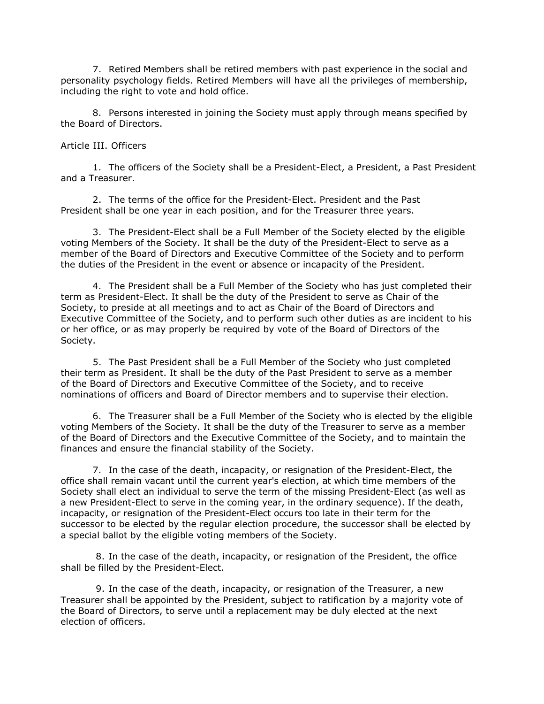7. Retired Members shall be retired members with past experience in the social and personality psychology fields. Retired Members will have all the privileges of membership, including the right to vote and hold office.

8. Persons interested in joining the Society must apply through means specified by the Board of Directors.

Article III. Officers

1. The officers of the Society shall be a President-Elect, a President, a Past President and a Treasurer.

2. The terms of the office for the President-Elect. President and the Past President shall be one year in each position, and for the Treasurer three years.

3. The President-Elect shall be a Full Member of the Society elected by the eligible voting Members of the Society. It shall be the duty of the President-Elect to serve as a member of the Board of Directors and Executive Committee of the Society and to perform the duties of the President in the event or absence or incapacity of the President.

4. The President shall be a Full Member of the Society who has just completed their term as President-Elect. It shall be the duty of the President to serve as Chair of the Society, to preside at all meetings and to act as Chair of the Board of Directors and Executive Committee of the Society, and to perform such other duties as are incident to his or her office, or as may properly be required by vote of the Board of Directors of the Society.

5. The Past President shall be a Full Member of the Society who just completed their term as President. It shall be the duty of the Past President to serve as a member of the Board of Directors and Executive Committee of the Society, and to receive nominations of officers and Board of Director members and to supervise their election.

6. The Treasurer shall be a Full Member of the Society who is elected by the eligible voting Members of the Society. It shall be the duty of the Treasurer to serve as a member of the Board of Directors and the Executive Committee of the Society, and to maintain the finances and ensure the financial stability of the Society.

7. In the case of the death, incapacity, or resignation of the President-Elect, the office shall remain vacant until the current year's election, at which time members of the Society shall elect an individual to serve the term of the missing President-Elect (as well as a new President-Elect to serve in the coming year, in the ordinary sequence). If the death, incapacity, or resignation of the President-Elect occurs too late in their term for the successor to be elected by the regular election procedure, the successor shall be elected by a special ballot by the eligible voting members of the Society.

8. In the case of the death, incapacity, or resignation of the President, the office shall be filled by the President-Elect.

9. In the case of the death, incapacity, or resignation of the Treasurer, a new Treasurer shall be appointed by the President, subject to ratification by a majority vote of the Board of Directors, to serve until a replacement may be duly elected at the next election of officers.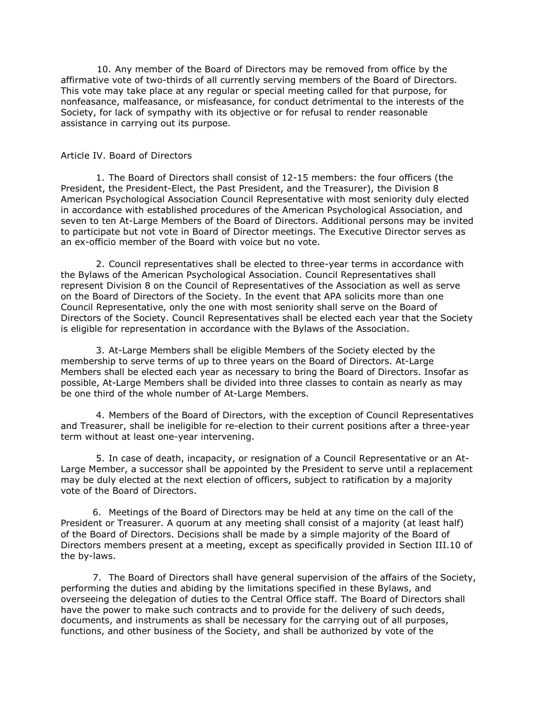10. Any member of the Board of Directors may be removed from office by the affirmative vote of two-thirds of all currently serving members of the Board of Directors. This vote may take place at any regular or special meeting called for that purpose, for nonfeasance, malfeasance, or misfeasance, for conduct detrimental to the interests of the Society, for lack of sympathy with its objective or for refusal to render reasonable assistance in carrying out its purpose.

#### Article IV. Board of Directors

1. The Board of Directors shall consist of 12-15 members: the four officers (the President, the President-Elect, the Past President, and the Treasurer), the Division 8 American Psychological Association Council Representative with most seniority duly elected in accordance with established procedures of the American Psychological Association, and seven to ten At-Large Members of the Board of Directors. Additional persons may be invited to participate but not vote in Board of Director meetings. The Executive Director serves as an ex-officio member of the Board with voice but no vote.

2. Council representatives shall be elected to three-year terms in accordance with the Bylaws of the American Psychological Association. Council Representatives shall represent Division 8 on the Council of Representatives of the Association as well as serve on the Board of Directors of the Society. In the event that APA solicits more than one Council Representative, only the one with most seniority shall serve on the Board of Directors of the Society. Council Representatives shall be elected each year that the Society is eligible for representation in accordance with the Bylaws of the Association.

3. At-Large Members shall be eligible Members of the Society elected by the membership to serve terms of up to three years on the Board of Directors. At-Large Members shall be elected each year as necessary to bring the Board of Directors. Insofar as possible, At-Large Members shall be divided into three classes to contain as nearly as may be one third of the whole number of At-Large Members.

4. Members of the Board of Directors, with the exception of Council Representatives and Treasurer, shall be ineligible for re-election to their current positions after a three-year term without at least one-year intervening.

5. In case of death, incapacity, or resignation of a Council Representative or an At-Large Member, a successor shall be appointed by the President to serve until a replacement may be duly elected at the next election of officers, subject to ratification by a majority vote of the Board of Directors.

6. Meetings of the Board of Directors may be held at any time on the call of the President or Treasurer. A quorum at any meeting shall consist of a majority (at least half) of the Board of Directors. Decisions shall be made by a simple majority of the Board of Directors members present at a meeting, except as specifically provided in Section III.10 of the by-laws.

7. The Board of Directors shall have general supervision of the affairs of the Society, performing the duties and abiding by the limitations specified in these Bylaws, and overseeing the delegation of duties to the Central Office staff. The Board of Directors shall have the power to make such contracts and to provide for the delivery of such deeds, documents, and instruments as shall be necessary for the carrying out of all purposes, functions, and other business of the Society, and shall be authorized by vote of the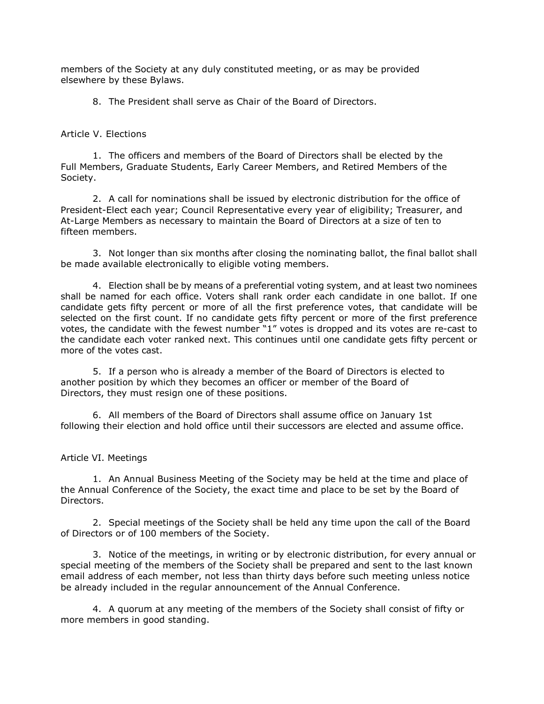members of the Society at any duly constituted meeting, or as may be provided elsewhere by these Bylaws.

8. The President shall serve as Chair of the Board of Directors.

Article V. Elections

1. The officers and members of the Board of Directors shall be elected by the Full Members, Graduate Students, Early Career Members, and Retired Members of the Society.

2. A call for nominations shall be issued by electronic distribution for the office of President-Elect each year; Council Representative every year of eligibility; Treasurer, and At-Large Members as necessary to maintain the Board of Directors at a size of ten to fifteen members.

3. Not longer than six months after closing the nominating ballot, the final ballot shall be made available electronically to eligible voting members.

4. Election shall be by means of a preferential voting system, and at least two nominees shall be named for each office. Voters shall rank order each candidate in one ballot. If one candidate gets fifty percent or more of all the first preference votes, that candidate will be selected on the first count. If no candidate gets fifty percent or more of the first preference votes, the candidate with the fewest number "1" votes is dropped and its votes are re-cast to the candidate each voter ranked next. This continues until one candidate gets fifty percent or more of the votes cast.

5. If a person who is already a member of the Board of Directors is elected to another position by which they becomes an officer or member of the Board of Directors, they must resign one of these positions.

6. All members of the Board of Directors shall assume office on January 1st following their election and hold office until their successors are elected and assume office.

Article VI. Meetings

1. An Annual Business Meeting of the Society may be held at the time and place of the Annual Conference of the Society, the exact time and place to be set by the Board of Directors.

2. Special meetings of the Society shall be held any time upon the call of the Board of Directors or of 100 members of the Society.

3. Notice of the meetings, in writing or by electronic distribution, for every annual or special meeting of the members of the Society shall be prepared and sent to the last known email address of each member, not less than thirty days before such meeting unless notice be already included in the regular announcement of the Annual Conference.

4. A quorum at any meeting of the members of the Society shall consist of fifty or more members in good standing.